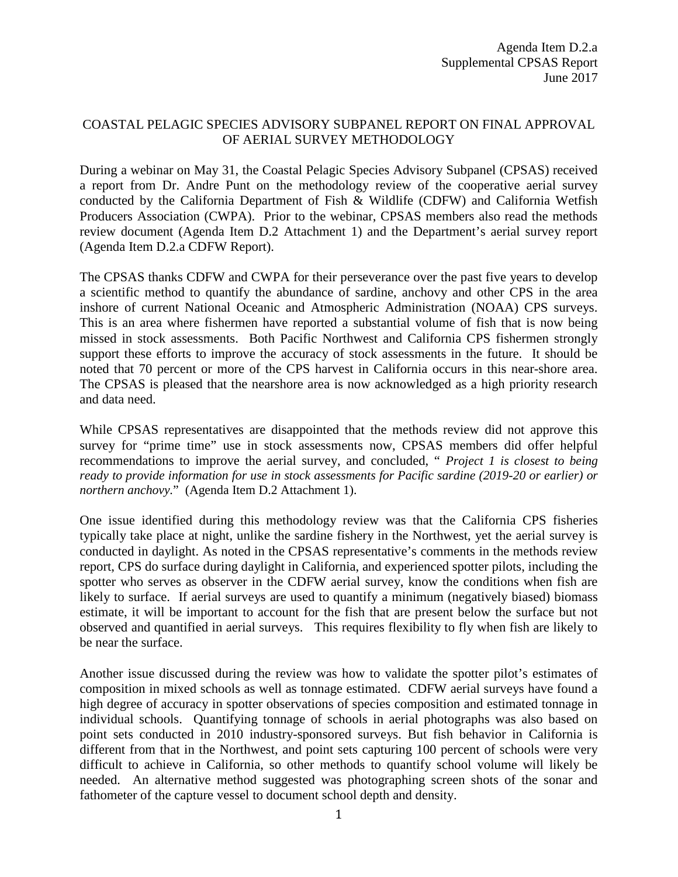## COASTAL PELAGIC SPECIES ADVISORY SUBPANEL REPORT ON FINAL APPROVAL OF AERIAL SURVEY METHODOLOGY

During a webinar on May 31, the Coastal Pelagic Species Advisory Subpanel (CPSAS) received a report from Dr. Andre Punt on the methodology review of the cooperative aerial survey conducted by the California Department of Fish & Wildlife (CDFW) and California Wetfish Producers Association (CWPA). Prior to the webinar, CPSAS members also read the methods review document (Agenda Item D.2 Attachment 1) and the Department's aerial survey report (Agenda Item D.2.a CDFW Report).

The CPSAS thanks CDFW and CWPA for their perseverance over the past five years to develop a scientific method to quantify the abundance of sardine, anchovy and other CPS in the area inshore of current National Oceanic and Atmospheric Administration (NOAA) CPS surveys. This is an area where fishermen have reported a substantial volume of fish that is now being missed in stock assessments. Both Pacific Northwest and California CPS fishermen strongly support these efforts to improve the accuracy of stock assessments in the future. It should be noted that 70 percent or more of the CPS harvest in California occurs in this near-shore area. The CPSAS is pleased that the nearshore area is now acknowledged as a high priority research and data need.

While CPSAS representatives are disappointed that the methods review did not approve this survey for "prime time" use in stock assessments now, CPSAS members did offer helpful recommendations to improve the aerial survey, and concluded, " *Project 1 is closest to being ready to provide information for use in stock assessments for Pacific sardine (2019-20 or earlier) or northern anchovy.*" (Agenda Item D.2 Attachment 1).

One issue identified during this methodology review was that the California CPS fisheries typically take place at night, unlike the sardine fishery in the Northwest, yet the aerial survey is conducted in daylight. As noted in the CPSAS representative's comments in the methods review report, CPS do surface during daylight in California, and experienced spotter pilots, including the spotter who serves as observer in the CDFW aerial survey, know the conditions when fish are likely to surface. If aerial surveys are used to quantify a minimum (negatively biased) biomass estimate, it will be important to account for the fish that are present below the surface but not observed and quantified in aerial surveys. This requires flexibility to fly when fish are likely to be near the surface.

Another issue discussed during the review was how to validate the spotter pilot's estimates of composition in mixed schools as well as tonnage estimated. CDFW aerial surveys have found a high degree of accuracy in spotter observations of species composition and estimated tonnage in individual schools. Quantifying tonnage of schools in aerial photographs was also based on point sets conducted in 2010 industry-sponsored surveys. But fish behavior in California is different from that in the Northwest, and point sets capturing 100 percent of schools were very difficult to achieve in California, so other methods to quantify school volume will likely be needed. An alternative method suggested was photographing screen shots of the sonar and fathometer of the capture vessel to document school depth and density.